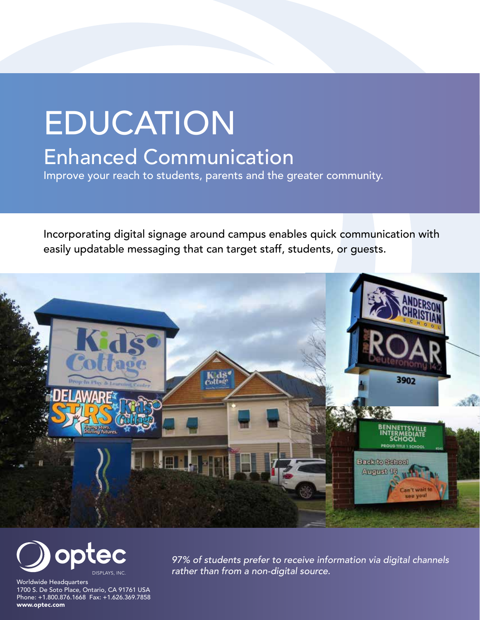## EDUCATION Enhanced Communication

Improve your reach to students, parents and the greater community.

Incorporating digital signage around campus enables quick communication with easily updatable messaging that can target staff, students, or guests.





Worldwide Headquarters 1700 S. De Soto Place, Ontario, CA 91761 USA Phone: +1.800.876.1668 Fax: +1.626.369.7858 www.optec.com

*97% of students prefer to receive information via digital channels rather than from a non-digital source.*